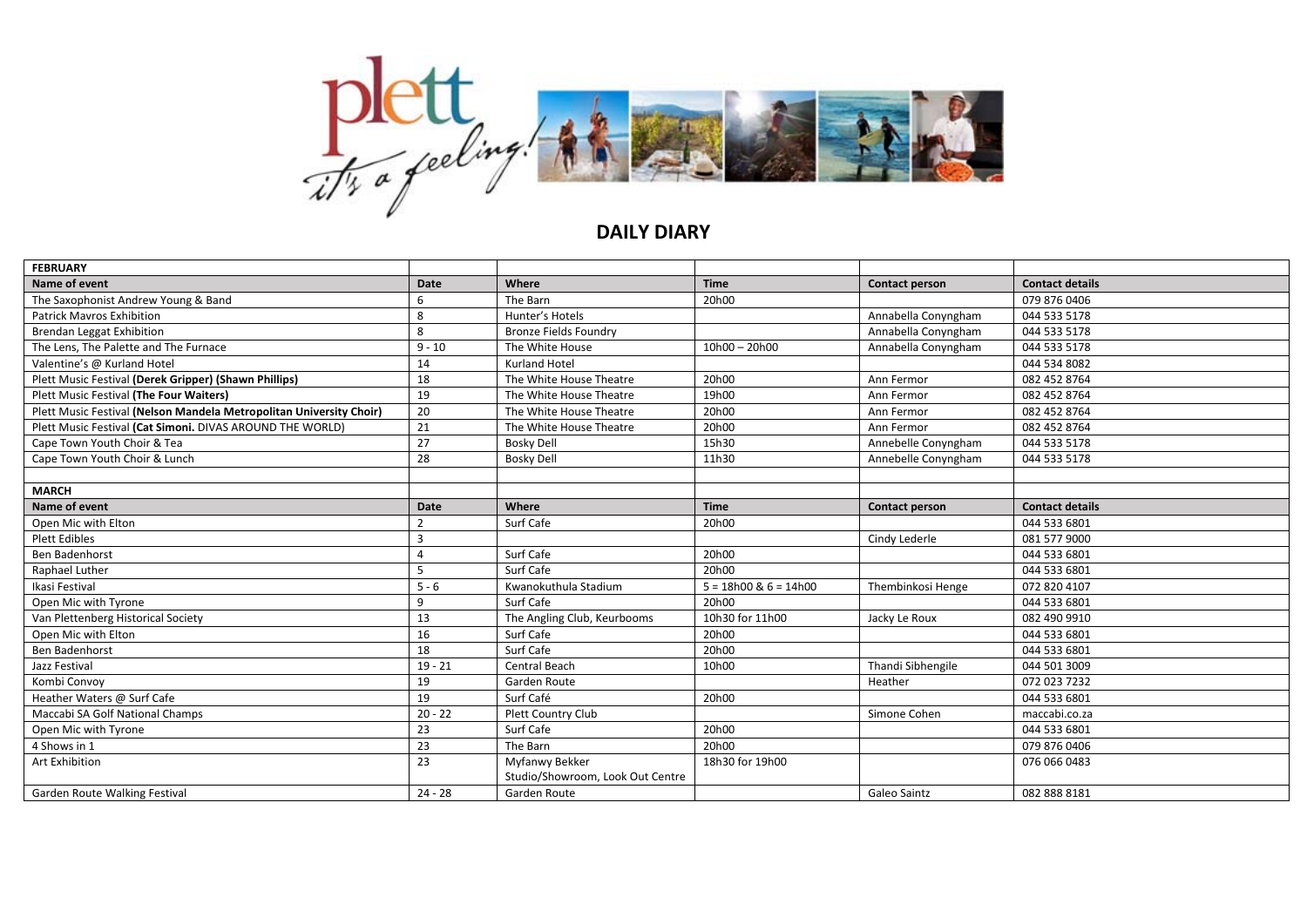

## **DAILY DIARY**

| <b>FEBRUARY</b>                                                     |                |                                  |                           |                       |                        |
|---------------------------------------------------------------------|----------------|----------------------------------|---------------------------|-----------------------|------------------------|
| Name of event                                                       | Date           | Where                            | <b>Time</b>               | <b>Contact person</b> | <b>Contact details</b> |
| The Saxophonist Andrew Young & Band                                 | 6              | The Barn                         | 20h00                     |                       | 079 876 0406           |
| <b>Patrick Mayros Exhibition</b>                                    | 8              | Hunter's Hotels                  |                           | Annabella Conyngham   | 044 533 5178           |
| <b>Brendan Leggat Exhibition</b>                                    | 8              | <b>Bronze Fields Foundry</b>     |                           | Annabella Conyngham   | 044 533 5178           |
| The Lens, The Palette and The Furnace                               | $9 - 10$       | The White House                  | $10h00 - 20h00$           | Annabella Conyngham   | 044 533 5178           |
| Valentine's @ Kurland Hotel                                         | 14             | <b>Kurland Hotel</b>             |                           |                       | 044 534 8082           |
| Plett Music Festival (Derek Gripper) (Shawn Phillips)               | 18             | The White House Theatre          | 20h00                     | Ann Fermor            | 082 452 8764           |
| Plett Music Festival (The Four Waiters)                             | 19             | The White House Theatre          | 19h00                     | Ann Fermor            | 082 452 8764           |
| Plett Music Festival (Nelson Mandela Metropolitan University Choir) | 20             | The White House Theatre          | 20h00                     | Ann Fermor            | 082 452 8764           |
| Plett Music Festival (Cat Simoni. DIVAS AROUND THE WORLD)           | 21             | The White House Theatre          | 20h00                     | Ann Fermor            | 082 452 8764           |
| Cape Town Youth Choir & Tea                                         | 27             | <b>Bosky Dell</b>                | 15h30                     | Annebelle Conyngham   | 044 533 5178           |
| Cape Town Youth Choir & Lunch                                       | 28             | <b>Bosky Dell</b>                | 11h30                     | Annebelle Conyngham   | 044 533 5178           |
|                                                                     |                |                                  |                           |                       |                        |
| <b>MARCH</b>                                                        |                |                                  |                           |                       |                        |
| Name of event                                                       | Date           | Where                            | <b>Time</b>               | <b>Contact person</b> | <b>Contact details</b> |
| Open Mic with Elton                                                 | $\overline{2}$ | Surf Cafe                        | 20h00                     |                       | 044 533 6801           |
| <b>Plett Edibles</b>                                                | $\mathbf{a}$   |                                  |                           | Cindy Lederle         | 081 577 9000           |
| Ben Badenhorst                                                      |                | Surf Cafe                        | 20h00                     |                       | 044 533 6801           |
| Raphael Luther                                                      | 5              | Surf Cafe                        | 20h00                     |                       | 044 533 6801           |
| Ikasi Festival                                                      | $5 - 6$        | Kwanokuthula Stadium             | $5 = 18h00$ & $6 = 14h00$ | Thembinkosi Henge     | 072 820 4107           |
| Open Mic with Tyrone                                                | 9              | Surf Cafe                        | 20h00                     |                       | 044 533 6801           |
| Van Plettenberg Historical Society                                  | 13             | The Angling Club, Keurbooms      | 10h30 for 11h00           | Jacky Le Roux         | 082 490 9910           |
| Open Mic with Elton                                                 | 16             | Surf Cafe                        | 20h00                     |                       | 044 533 6801           |
| Ben Badenhorst                                                      | 18             | Surf Cafe                        | 20h00                     |                       | 044 533 6801           |
| Jazz Festival                                                       | $19 - 21$      | <b>Central Beach</b>             | 10h00                     | Thandi Sibhengile     | 044 501 3009           |
| Kombi Convoy                                                        | 19             | Garden Route                     |                           | Heather               | 072 023 7232           |
| Heather Waters @ Surf Cafe                                          | 19             | Surf Café                        | 20h00                     |                       | 044 533 6801           |
| Maccabi SA Golf National Champs                                     | $20 - 22$      | Plett Country Club               |                           | Simone Cohen          | maccabi.co.za          |
| Open Mic with Tyrone                                                | 23             | Surf Cafe                        | 20h00                     |                       | 044 533 6801           |
| 4 Shows in 1                                                        | 23             | The Barn                         | 20h00                     |                       | 079 876 0406           |
| Art Exhibition                                                      | 23             | Myfanwy Bekker                   | 18h30 for 19h00           |                       | 076 066 0483           |
|                                                                     |                | Studio/Showroom, Look Out Centre |                           |                       |                        |
| Garden Route Walking Festival                                       | $24 - 28$      | Garden Route                     |                           | Galeo Saintz          | 082 888 8181           |